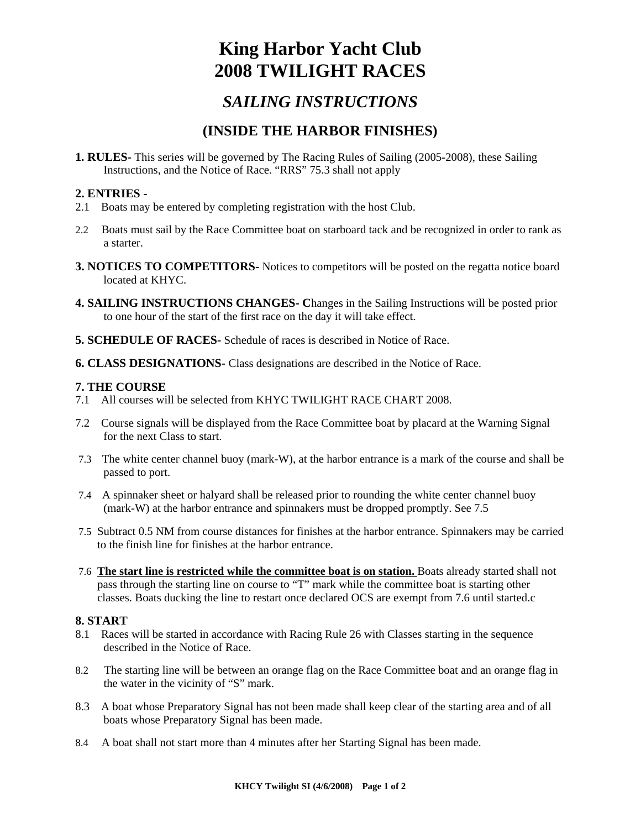# **King Harbor Yacht Club 2008 TWILIGHT RACES**

# *SAILING INSTRUCTIONS*

## **(INSIDE THE HARBOR FINISHES)**

**1. RULES-** This series will be governed by The Racing Rules of Sailing (2005-2008), these Sailing Instructions, and the Notice of Race. "RRS" 75.3 shall not apply

### **2. ENTRIES -**

- 2.1 Boats may be entered by completing registration with the host Club.
- 2.2 Boats must sail by the Race Committee boat on starboard tack and be recognized in order to rank as a starter.
- **3. NOTICES TO COMPETITORS-** Notices to competitors will be posted on the regatta notice board located at KHYC.
- **4. SAILING INSTRUCTIONS CHANGES- C**hanges in the Sailing Instructions will be posted prior to one hour of the start of the first race on the day it will take effect.
- **5. SCHEDULE OF RACES-** Schedule of races is described in Notice of Race.
- **6. CLASS DESIGNATIONS-** Class designations are described in the Notice of Race.

### **7. THE COURSE**

- 7.1 All courses will be selected from KHYC TWILIGHT RACE CHART 2008.
- 7.2 Course signals will be displayed from the Race Committee boat by placard at the Warning Signal for the next Class to start.
- 7.3 The white center channel buoy (mark-W), at the harbor entrance is a mark of the course and shall be passed to port.
- 7.4 A spinnaker sheet or halyard shall be released prior to rounding the white center channel buoy (mark-W) at the harbor entrance and spinnakers must be dropped promptly. See 7.5
- 7.5 Subtract 0.5 NM from course distances for finishes at the harbor entrance. Spinnakers may be carried to the finish line for finishes at the harbor entrance.
- 7.6 **The start line is restricted while the committee boat is on station.** Boats already started shall not pass through the starting line on course to "T" mark while the committee boat is starting other classes. Boats ducking the line to restart once declared OCS are exempt from 7.6 until started.c

### **8. START**

- 8.1 Races will be started in accordance with Racing Rule 26 with Classes starting in the sequence described in the Notice of Race.
- 8.2 The starting line will be between an orange flag on the Race Committee boat and an orange flag in the water in the vicinity of "S" mark.
- 8.3 A boat whose Preparatory Signal has not been made shall keep clear of the starting area and of all boats whose Preparatory Signal has been made.
- 8.4 A boat shall not start more than 4 minutes after her Starting Signal has been made.